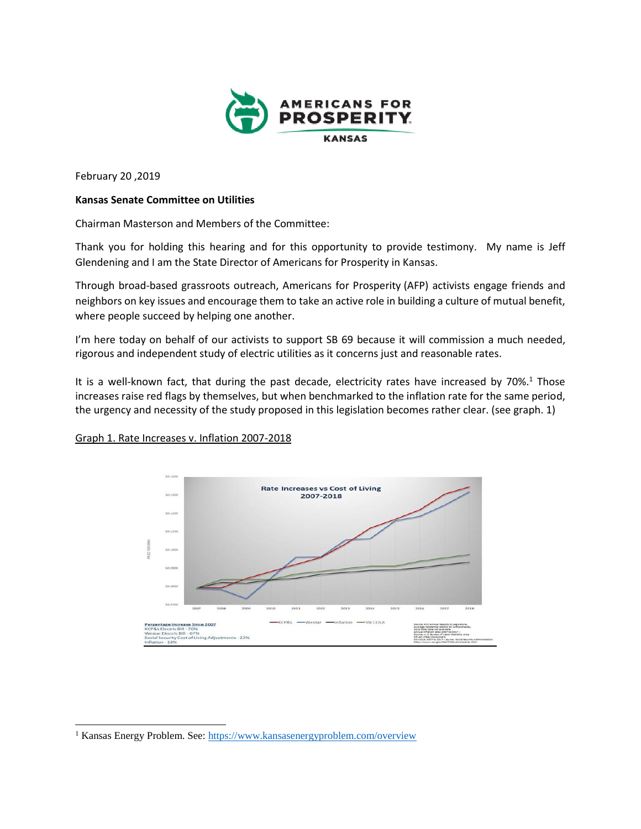

February 20 ,2019

 $\overline{a}$ 

## **Kansas Senate Committee on Utilities**

Chairman Masterson and Members of the Committee:

Thank you for holding this hearing and for this opportunity to provide testimony. My name is Jeff Glendening and I am the State Director of Americans for Prosperity in Kansas.

Through broad-based grassroots outreach, Americans for Prosperity (AFP) activists engage friends and neighbors on key issues and encourage them to take an active role in building a culture of mutual benefit, where people succeed by helping one another.

I'm here today on behalf of our activists to support SB 69 because it will commission a much needed, rigorous and independent study of electric utilities as it concerns just and reasonable rates.

It is a well-known fact, that during the past decade, electricity rates have increased by 70%.<sup>1</sup> Those increases raise red flags by themselves, but when benchmarked to the inflation rate for the same period, the urgency and necessity of the study proposed in this legislation becomes rather clear. (see graph. 1)



Graph 1. Rate Increases v. Inflation 2007-2018

<sup>&</sup>lt;sup>1</sup> Kansas Energy Problem. See:<https://www.kansasenergyproblem.com/overview>